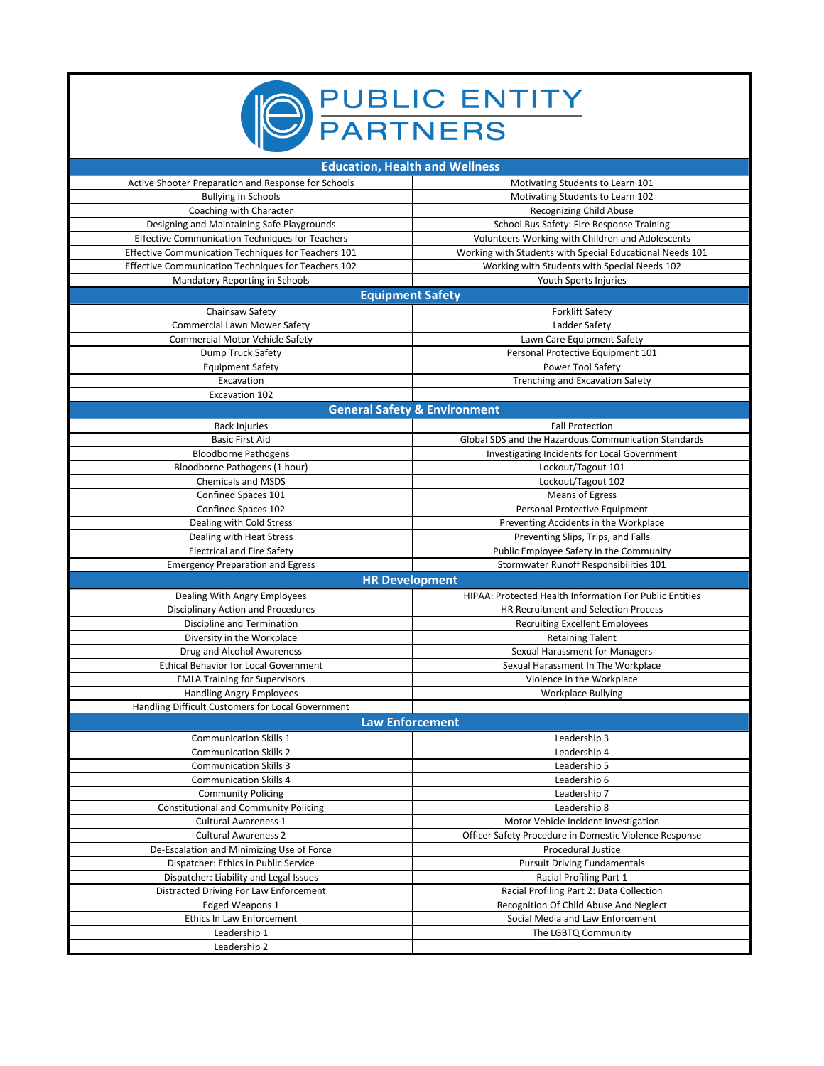

| <b>Education, Health and Wellness</b>                  |                                                                |
|--------------------------------------------------------|----------------------------------------------------------------|
| Active Shooter Preparation and Response for Schools    | Motivating Students to Learn 101                               |
| <b>Bullying in Schools</b>                             | Motivating Students to Learn 102                               |
| Coaching with Character                                | Recognizing Child Abuse                                        |
| Designing and Maintaining Safe Playgrounds             | School Bus Safety: Fire Response Training                      |
| <b>Effective Communication Techniques for Teachers</b> | Volunteers Working with Children and Adolescents               |
| Effective Communication Techniques for Teachers 101    | Working with Students with Special Educational Needs 101       |
| Effective Communication Techniques for Teachers 102    | Working with Students with Special Needs 102                   |
| Mandatory Reporting in Schools                         | Youth Sports Injuries                                          |
| <b>Equipment Safety</b>                                |                                                                |
| Chainsaw Safety                                        | <b>Forklift Safety</b>                                         |
| <b>Commercial Lawn Mower Safety</b>                    | Ladder Safety                                                  |
| Commercial Motor Vehicle Safety                        | Lawn Care Equipment Safety                                     |
| Dump Truck Safety                                      | Personal Protective Equipment 101                              |
| <b>Equipment Safety</b>                                | Power Tool Safety                                              |
| Excavation                                             | <b>Trenching and Excavation Safety</b>                         |
| Excavation 102                                         |                                                                |
| <b>General Safety &amp; Environment</b>                |                                                                |
| <b>Back Injuries</b>                                   | <b>Fall Protection</b>                                         |
| <b>Basic First Aid</b>                                 | Global SDS and the Hazardous Communication Standards           |
| <b>Bloodborne Pathogens</b>                            | Investigating Incidents for Local Government                   |
| Bloodborne Pathogens (1 hour)                          | Lockout/Tagout 101                                             |
| <b>Chemicals and MSDS</b>                              | Lockout/Tagout 102                                             |
| Confined Spaces 101                                    | <b>Means of Egress</b>                                         |
| Confined Spaces 102                                    | Personal Protective Equipment                                  |
| Dealing with Cold Stress                               | Preventing Accidents in the Workplace                          |
| Dealing with Heat Stress                               | Preventing Slips, Trips, and Falls                             |
| <b>Electrical and Fire Safety</b>                      | Public Employee Safety in the Community                        |
|                                                        |                                                                |
|                                                        |                                                                |
| <b>Emergency Preparation and Egress</b>                | Stormwater Runoff Responsibilities 101                         |
| <b>HR Development</b>                                  |                                                                |
| Dealing With Angry Employees                           | <b>HIPAA: Protected Health Information For Public Entities</b> |
| Disciplinary Action and Procedures                     | HR Recruitment and Selection Process                           |
| Discipline and Termination                             | <b>Recruiting Excellent Employees</b>                          |
| Diversity in the Workplace                             | <b>Retaining Talent</b>                                        |
| Drug and Alcohol Awareness                             | Sexual Harassment for Managers                                 |
| <b>Ethical Behavior for Local Government</b>           | Sexual Harassment In The Workplace                             |
| <b>FMLA Training for Supervisors</b>                   | Violence in the Workplace                                      |
| <b>Handling Angry Employees</b>                        | <b>Workplace Bullying</b>                                      |
| Handling Difficult Customers for Local Government      |                                                                |
| <b>Law Enforcement</b>                                 |                                                                |
| <b>Communication Skills 1</b>                          | Leadership 3                                                   |
| <b>Communication Skills 2</b>                          | Leadership 4                                                   |
| Communication Skills 3                                 | Leadership 5                                                   |
| <b>Communication Skills 4</b>                          | Leadership 6                                                   |
| <b>Community Policing</b>                              | Leadership 7                                                   |
| <b>Constitutional and Community Policing</b>           | Leadership 8                                                   |
| <b>Cultural Awareness 1</b>                            | Motor Vehicle Incident Investigation                           |
| <b>Cultural Awareness 2</b>                            | Officer Safety Procedure in Domestic Violence Response         |
| De-Escalation and Minimizing Use of Force              | Procedural Justice                                             |
| Dispatcher: Ethics in Public Service                   | <b>Pursuit Driving Fundamentals</b>                            |
| Dispatcher: Liability and Legal Issues                 | Racial Profiling Part 1                                        |
| Distracted Driving For Law Enforcement                 | Racial Profiling Part 2: Data Collection                       |
| <b>Edged Weapons 1</b>                                 | Recognition Of Child Abuse And Neglect                         |
| Ethics In Law Enforcement                              | Social Media and Law Enforcement                               |
| Leadership 1<br>Leadership 2                           | The LGBTQ Community                                            |